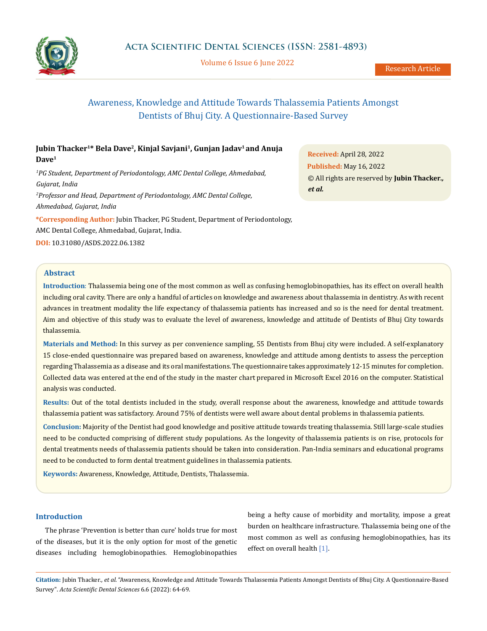

Volume 6 Issue 6 June 2022

# Awareness, Knowledge and Attitude Towards Thalassemia Patients Amongst Dentists of Bhuj City. A Questionnaire-Based Survey

## **Jubin Thacker1\* Bela Dave2, Kinjal Savjani1, Gunjan Jadav1 and Anuja Dave1**

*1 PG Student, Department of Periodontology, AMC Dental College, Ahmedabad, Gujarat, India 2 Professor and Head, Department of Periodontology, AMC Dental College, Ahmedabad, Gujarat, India*

**\*Corresponding Author:** Jubin Thacker, PG Student, Department of Periodontology, AMC Dental College, Ahmedabad, Gujarat, India. **DOI:** [10.31080/ASDS.2022.06.1382](https://actascientific.com/ASDS/pdf/ASDS-06-1382.pdf)

**Received:** April 28, 2022 **Published:** May 16, 2022 © All rights are reserved by **Jubin Thacker***., et al.*

## **Abstract**

**Introduction**: Thalassemia being one of the most common as well as confusing hemoglobinopathies, has its effect on overall health including oral cavity. There are only a handful of articles on knowledge and awareness about thalassemia in dentistry. As with recent advances in treatment modality the life expectancy of thalassemia patients has increased and so is the need for dental treatment. Aim and objective of this study was to evaluate the level of awareness, knowledge and attitude of Dentists of Bhuj City towards thalassemia.

**Materials and Method:** In this survey as per convenience sampling, 55 Dentists from Bhuj city were included. A self-explanatory 15 close-ended questionnaire was prepared based on awareness, knowledge and attitude among dentists to assess the perception regarding Thalassemia as a disease and its oral manifestations. The questionnaire takes approximately 12-15 minutes for completion. Collected data was entered at the end of the study in the master chart prepared in Microsoft Excel 2016 on the computer. Statistical analysis was conducted.

**Results:** Out of the total dentists included in the study, overall response about the awareness, knowledge and attitude towards thalassemia patient was satisfactory. Around 75% of dentists were well aware about dental problems in thalassemia patients.

**Conclusion:** Majority of the Dentist had good knowledge and positive attitude towards treating thalassemia. Still large-scale studies need to be conducted comprising of different study populations. As the longevity of thalassemia patients is on rise, protocols for dental treatments needs of thalassemia patients should be taken into consideration. Pan-India seminars and educational programs need to be conducted to form dental treatment guidelines in thalassemia patients.

**Keywords:** Awareness, Knowledge, Attitude, Dentists, Thalassemia.

## **Introduction**

The phrase 'Prevention is better than cure' holds true for most of the diseases, but it is the only option for most of the genetic diseases including hemoglobinopathies. Hemoglobinopathies being a hefty cause of morbidity and mortality, impose a great burden on healthcare infrastructure. Thalassemia being one of the most common as well as confusing hemoglobinopathies, has its effect on overall health [1].

**Citation:** Jubin Thacker*., et al.* "Awareness, Knowledge and Attitude Towards Thalassemia Patients Amongst Dentists of Bhuj City. A Questionnaire-Based Survey". *Acta Scientific Dental Sciences* 6.6 (2022): 64-69.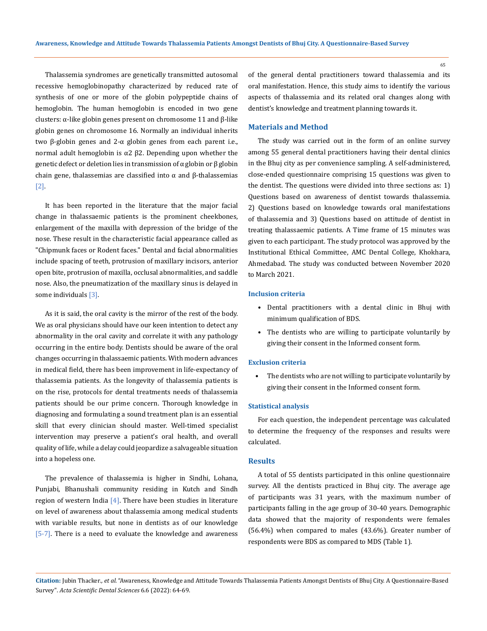Thalassemia syndromes are genetically transmitted autosomal recessive hemoglobinopathy characterized by reduced rate of synthesis of one or more of the globin polypeptide chains of hemoglobin. The human hemoglobin is encoded in two gene clusters: α-like globin genes present on chromosome 11 and β-like globin genes on chromosome 16. Normally an individual inherits two β-globin genes and 2-α globin genes from each parent i.e., normal adult hemoglobin is  $α2 β2$ . Depending upon whether the genetic defect or deletion lies in transmission of α globin or β globin chain gene, thalassemias are classified into α and β-thalassemias [2].

It has been reported in the literature that the major facial change in thalassaemic patients is the prominent cheekbones, enlargement of the maxilla with depression of the bridge of the nose. These result in the characteristic facial appearance called as "Chipmunk faces or Rodent faces." Dental and facial abnormalities include spacing of teeth, protrusion of maxillary incisors, anterior open bite, protrusion of maxilla, occlusal abnormalities, and saddle nose. Also, the pneumatization of the maxillary sinus is delayed in some individuals [3].

As it is said, the oral cavity is the mirror of the rest of the body. We as oral physicians should have our keen intention to detect any abnormality in the oral cavity and correlate it with any pathology occurring in the entire body. Dentists should be aware of the oral changes occurring in thalassaemic patients. With modern advances in medical field, there has been improvement in life-expectancy of thalassemia patients. As the longevity of thalassemia patients is on the rise, protocols for dental treatments needs of thalassemia patients should be our prime concern. Thorough knowledge in diagnosing and formulating a sound treatment plan is an essential skill that every clinician should master. Well-timed specialist intervention may preserve a patient's oral health, and overall quality of life, while a delay could jeopardize a salvageable situation into a hopeless one.

The prevalence of thalassemia is higher in Sindhi, Lohana, Punjabi, Bhanushali community residing in Kutch and Sindh region of western India  $[4]$ . There have been studies in literature on level of awareness about thalassemia among medical students with variable results, but none in dentists as of our knowledge [5-7]. There is a need to evaluate the knowledge and awareness of the general dental practitioners toward thalassemia and its oral manifestation. Hence, this study aims to identify the various aspects of thalassemia and its related oral changes along with dentist's knowledge and treatment planning towards it.

## **Materials and Method**

The study was carried out in the form of an online survey among 55 general dental practitioners having their dental clinics in the Bhuj city as per convenience sampling. A self-administered, close-ended questionnaire comprising 15 questions was given to the dentist. The questions were divided into three sections as: 1) Questions based on awareness of dentist towards thalassemia. 2) Questions based on knowledge towards oral manifestations of thalassemia and 3) Questions based on attitude of dentist in treating thalassaemic patients. A Time frame of 15 minutes was given to each participant. The study protocol was approved by the Institutional Ethical Committee, AMC Dental College, Khokhara, Ahmedabad. The study was conducted between November 2020 to March 2021.

#### **Inclusion criteria**

- Dental practitioners with a dental clinic in Bhuj with minimum qualification of BDS.
- The dentists who are willing to participate voluntarily by giving their consent in the Informed consent form.

#### **Exclusion criteria**

The dentists who are not willing to participate voluntarily by giving their consent in the Informed consent form.

#### **Statistical analysis**

For each question, the independent percentage was calculated to determine the frequency of the responses and results were calculated.

#### **Results**

A total of 55 dentists participated in this online questionnaire survey. All the dentists practiced in Bhuj city. The average age of participants was 31 years, with the maximum number of participants falling in the age group of 30-40 years. Demographic data showed that the majority of respondents were females (56.4%) when compared to males (43.6%). Greater number of respondents were BDS as compared to MDS (Table 1).

65

**Citation:** Jubin Thacker*., et al.* "Awareness, Knowledge and Attitude Towards Thalassemia Patients Amongst Dentists of Bhuj City. A Questionnaire-Based Survey". *Acta Scientific Dental Sciences* 6.6 (2022): 64-69.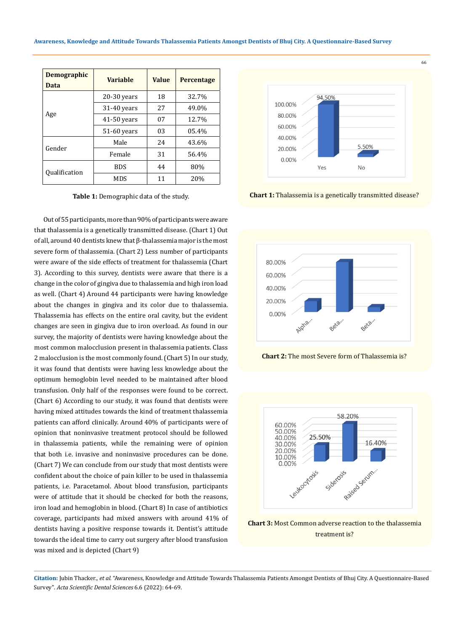| <b>Demographic</b><br>Data  | <b>Variable</b> | <b>Value</b> | <b>Percentage</b> |
|-----------------------------|-----------------|--------------|-------------------|
| Age                         | $20-30$ years   | 18           | 32.7%             |
|                             | $31-40$ years   | 27           | 49.0%             |
|                             | $41-50$ years   | 07           | 12.7%             |
|                             | $51-60$ years   | 03           | 05.4%             |
| Gender                      | Male            | 2.4          | 43.6%             |
|                             | Female          | 31           | 56.4%             |
| <i><b>Oualification</b></i> | <b>BDS</b>      | 44           | 80%               |
|                             | MDS             | 11           | 20%               |

Out of 55 participants, more than 90% of participants were aware that thalassemia is a genetically transmitted disease. (Chart 1) Out of all, around 40 dentists knew that β-thalassemia major is the most severe form of thalassemia. (Chart 2) Less number of participants were aware of the side effects of treatment for thalassemia (Chart 3). According to this survey, dentists were aware that there is a change in the color of gingiva due to thalassemia and high iron load as well. (Chart 4) Around 44 participants were having knowledge about the changes in gingiva and its color due to thalassemia. Thalassemia has effects on the entire oral cavity, but the evident changes are seen in gingiva due to iron overload. As found in our survey, the majority of dentists were having knowledge about the most common malocclusion present in thalassemia patients. Class 2 malocclusion is the most commonly found. (Chart 5) In our study, it was found that dentists were having less knowledge about the optimum hemoglobin level needed to be maintained after blood transfusion. Only half of the responses were found to be correct. (Chart 6) According to our study, it was found that dentists were having mixed attitudes towards the kind of treatment thalassemia patients can afford clinically. Around 40% of participants were of opinion that noninvasive treatment protocol should be followed in thalassemia patients, while the remaining were of opinion that both i.e. invasive and noninvasive procedures can be done. (Chart 7) We can conclude from our study that most dentists were confident about the choice of pain killer to be used in thalassemia patients, i.e. Paracetamol. About blood transfusion, participants were of attitude that it should be checked for both the reasons, iron load and hemoglobin in blood. (Chart 8) In case of antibiotics coverage, participants had mixed answers with around 41% of dentists having a positive response towards it. Dentist's attitude towards the ideal time to carry out surgery after blood transfusion was mixed and is depicted (Chart 9)



**Table 1:** Demographic data of the study. **Chart 1: Chart 1:** Thalassemia is a genetically transmitted disease?



**Chart 2:** The most Severe form of Thalassemia is?



**Chart 3:** Most Common adverse reaction to the thalassemia treatment is?

**Citation:** Jubin Thacker*., et al.* "Awareness, Knowledge and Attitude Towards Thalassemia Patients Amongst Dentists of Bhuj City. A Questionnaire-Based Survey". *Acta Scientific Dental Sciences* 6.6 (2022): 64-69.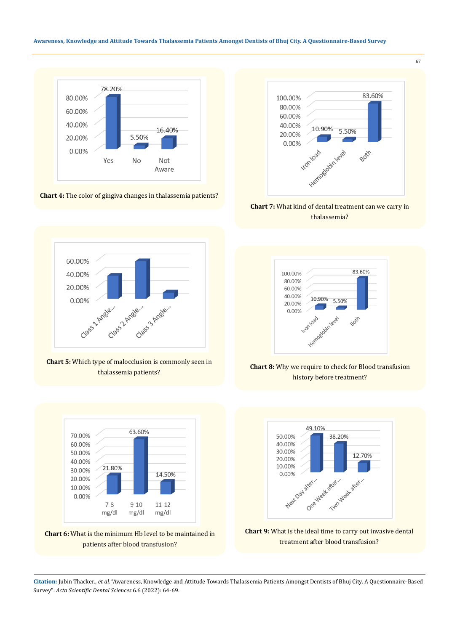## **Awareness, Knowledge and Attitude Towards Thalassemia Patients Amongst Dentists of Bhuj City. A Questionnaire-Based Survey**



**Chart 4:** The color of gingiva changes in thalassemia patients?



**Chart 7:** What kind of dental treatment can we carry in thalassemia?



**Chart 5:** Which type of malocclusion is commonly seen in thalassemia patients?

63.60%

14.50%

 $11 - 12$ 

mg/dl

70.00%

60.00%

50.00%

40.00%

30.00%

20.00% 10.00% 0.00%

**Chart 6:** What is the minimum Hb level to be maintained in patients after blood transfusion?

 $9 - 10$ 

mg/dl

21.80%

 $7 - 8$ 

mg/dl



**Chart 8:** Why we require to check for Blood transfusion history before treatment?





**Citation:** Jubin Thacker*., et al.* "Awareness, Knowledge and Attitude Towards Thalassemia Patients Amongst Dentists of Bhuj City. A Questionnaire-Based Survey". *Acta Scientific Dental Sciences* 6.6 (2022): 64-69.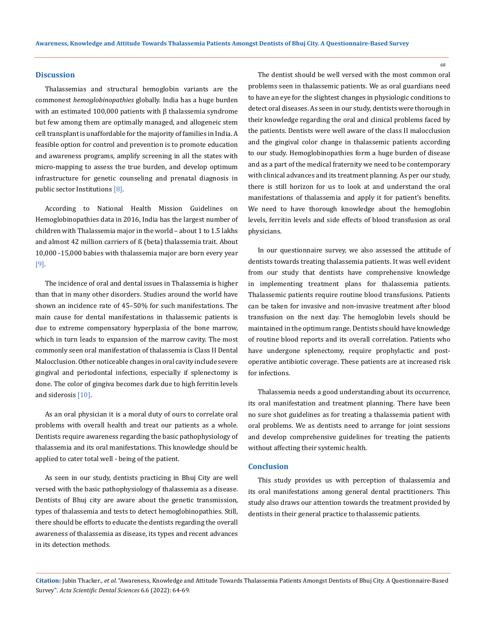#### **Discussion**

Thalassemias and structural hemoglobin variants are the commonest *hemoglobinopathies* globally. India has a huge burden with an estimated 100,000 patients with β thalassemia syndrome but few among them are optimally managed, and allogeneic stem cell transplant is unaffordable for the majority of families in India. A feasible option for control and prevention is to promote education and awareness programs, amplify screening in all the states with micro-mapping to assess the true burden, and develop optimum infrastructure for genetic counseling and prenatal diagnosis in public sector Institutions [8].

According to National Health Mission Guidelines on Hemoglobinopathies data in 2016, India has the largest number of children with Thalassemia major in the world – about 1 to 1.5 lakhs and almost 42 million carriers of ß (beta) thalassemia trait. About 10,000 -15,000 babies with thalassemia major are born every year [9].

The incidence of oral and dental issues in Thalassemia is higher than that in many other disorders. Studies around the world have shown an incidence rate of 45–50% for such manifestations. The main cause for dental manifestations in thalassemic patients is due to extreme compensatory hyperplasia of the bone marrow, which in turn leads to expansion of the marrow cavity. The most commonly seen oral manifestation of thalassemia is Class II Dental Malocclusion. Other noticeable changes in oral cavity include severe gingival and periodontal infections, especially if splenectomy is done. The color of gingiva becomes dark due to high ferritin levels and siderosis [10].

As an oral physician it is a moral duty of ours to correlate oral problems with overall health and treat our patients as a whole. Dentists require awareness regarding the basic pathophysiology of thalassemia and its oral manifestations. This knowledge should be applied to cater total well - being of the patient.

As seen in our study, dentists practicing in Bhuj City are well versed with the basic pathophysiology of thalassemia as a disease. Dentists of Bhuj city are aware about the genetic transmission, types of thalassemia and tests to detect hemoglobinopathies. Still, there should be efforts to educate the dentists regarding the overall awareness of thalassemia as disease, its types and recent advances in its detection methods.

The dentist should be well versed with the most common oral problems seen in thalassemic patients. We as oral guardians need to have an eye for the slightest changes in physiologic conditions to detect oral diseases. As seen in our study, dentists were thorough in their knowledge regarding the oral and clinical problems faced by the patients. Dentists were well aware of the class II malocclusion and the gingival color change in thalassemic patients according to our study. Hemoglobinopathies form a huge burden of disease and as a part of the medical fraternity we need to be contemporary with clinical advances and its treatment planning. As per our study, there is still horizon for us to look at and understand the oral manifestations of thalassemia and apply it for patient's benefits. We need to have thorough knowledge about the hemoglobin levels, ferritin levels and side effects of blood transfusion as oral physicians.

In our questionnaire survey, we also assessed the attitude of dentists towards treating thalassemia patients. It was well evident from our study that dentists have comprehensive knowledge in implementing treatment plans for thalassemia patients. Thalassemic patients require routine blood transfusions. Patients can be taken for invasive and non-invasive treatment after blood transfusion on the next day. The hemoglobin levels should be maintained in the optimum range. Dentists should have knowledge of routine blood reports and its overall correlation. Patients who have undergone splenectomy, require prophylactic and postoperative antibiotic coverage. These patients are at increased risk for infections.

Thalassemia needs a good understanding about its occurrence, its oral manifestation and treatment planning. There have been no sure shot guidelines as for treating a thalassemia patient with oral problems. We as dentists need to arrange for joint sessions and develop comprehensive guidelines for treating the patients without affecting their systemic health.

#### **Conclusion**

This study provides us with perception of thalassemia and its oral manifestations among general dental practitioners. This study also draws our attention towards the treatment provided by dentists in their general practice to thalassemic patients.

**Citation:** Jubin Thacker*., et al.* "Awareness, Knowledge and Attitude Towards Thalassemia Patients Amongst Dentists of Bhuj City. A Questionnaire-Based Survey". *Acta Scientific Dental Sciences* 6.6 (2022): 64-69.

68